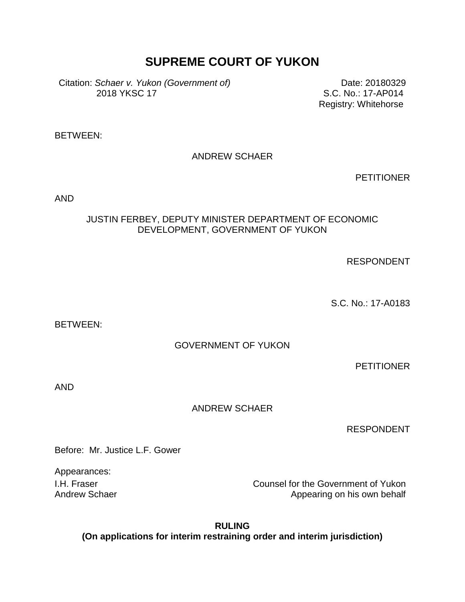# **SUPREME COURT OF YUKON**

Citation: *Schaer v. Yukon (Government of)* 2018 YKSC 17

Date: 20180329 S.C. No.: 17-AP014 Registry: Whitehorse

BETWEEN:

ANDREW SCHAER

**PETITIONER** 

AND

### JUSTIN FERBEY, DEPUTY MINISTER DEPARTMENT OF ECONOMIC DEVELOPMENT, GOVERNMENT OF YUKON

RESPONDENT

S.C. No.: 17-A0183

BETWEEN:

GOVERNMENT OF YUKON

**PETITIONER** 

AND

ANDREW SCHAER

RESPONDENT

Before: Mr. Justice L.F. Gower

Appearances:

I.H. Fraser Counsel for the Government of Yukon Andrew Schaer **Appearing on his own behalf** Appearing on his own behalf

**RULING (On applications for interim restraining order and interim jurisdiction)**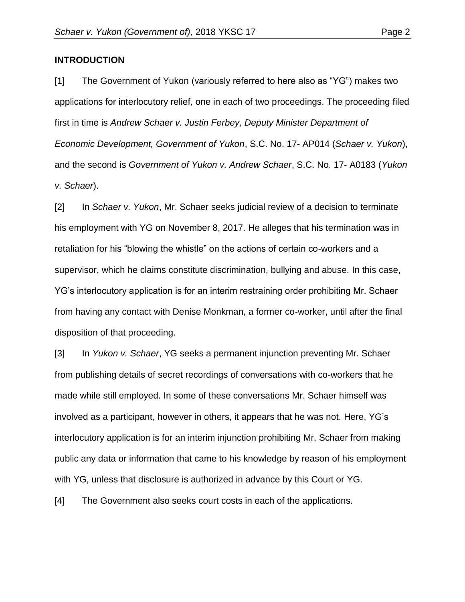#### **INTRODUCTION**

[1] The Government of Yukon (variously referred to here also as "YG") makes two applications for interlocutory relief, one in each of two proceedings. The proceeding filed first in time is *Andrew Schaer v. Justin Ferbey, Deputy Minister Department of Economic Development, Government of Yukon*, S.C. No. 17- AP014 (*Schaer v. Yukon*), and the second is *Government of Yukon v. Andrew Schaer*, S.C. No. 17- A0183 (*Yukon v. Schaer*).

[2] In *Schaer v. Yukon*, Mr. Schaer seeks judicial review of a decision to terminate his employment with YG on November 8, 2017. He alleges that his termination was in retaliation for his "blowing the whistle" on the actions of certain co-workers and a supervisor, which he claims constitute discrimination, bullying and abuse. In this case, YG's interlocutory application is for an interim restraining order prohibiting Mr. Schaer from having any contact with Denise Monkman, a former co-worker, until after the final disposition of that proceeding.

[3] In *Yukon v. Schaer*, YG seeks a permanent injunction preventing Mr. Schaer from publishing details of secret recordings of conversations with co-workers that he made while still employed. In some of these conversations Mr. Schaer himself was involved as a participant, however in others, it appears that he was not. Here, YG's interlocutory application is for an interim injunction prohibiting Mr. Schaer from making public any data or information that came to his knowledge by reason of his employment with YG, unless that disclosure is authorized in advance by this Court or YG.

[4] The Government also seeks court costs in each of the applications.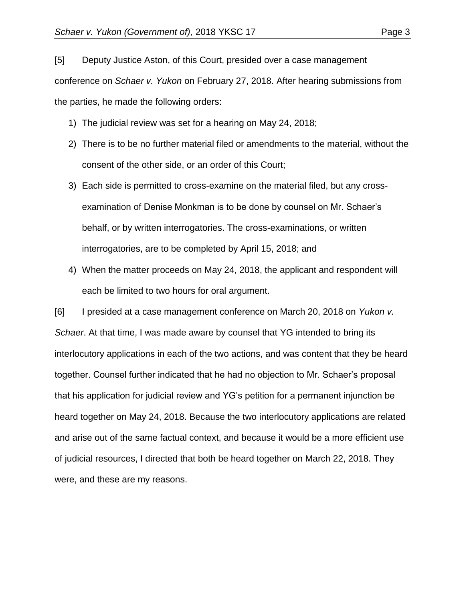[5] Deputy Justice Aston, of this Court, presided over a case management conference on *Schaer v. Yukon* on February 27, 2018. After hearing submissions from the parties, he made the following orders:

- 1) The judicial review was set for a hearing on May 24, 2018;
- 2) There is to be no further material filed or amendments to the material, without the consent of the other side, or an order of this Court;
- 3) Each side is permitted to cross-examine on the material filed, but any crossexamination of Denise Monkman is to be done by counsel on Mr. Schaer's behalf, or by written interrogatories. The cross-examinations, or written interrogatories, are to be completed by April 15, 2018; and
- 4) When the matter proceeds on May 24, 2018, the applicant and respondent will each be limited to two hours for oral argument.

[6] I presided at a case management conference on March 20, 2018 on *Yukon v. Schaer*. At that time, I was made aware by counsel that YG intended to bring its interlocutory applications in each of the two actions, and was content that they be heard together. Counsel further indicated that he had no objection to Mr. Schaer's proposal that his application for judicial review and YG's petition for a permanent injunction be heard together on May 24, 2018. Because the two interlocutory applications are related and arise out of the same factual context, and because it would be a more efficient use of judicial resources, I directed that both be heard together on March 22, 2018. They were, and these are my reasons.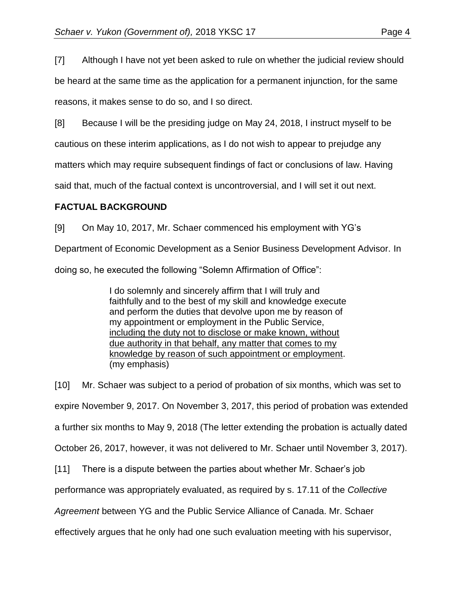[7] Although I have not yet been asked to rule on whether the judicial review should

be heard at the same time as the application for a permanent injunction, for the same reasons, it makes sense to do so, and I so direct.

[8] Because I will be the presiding judge on May 24, 2018, I instruct myself to be

cautious on these interim applications, as I do not wish to appear to prejudge any

matters which may require subsequent findings of fact or conclusions of law. Having

said that, much of the factual context is uncontroversial, and I will set it out next.

## **FACTUAL BACKGROUND**

[9] On May 10, 2017, Mr. Schaer commenced his employment with YG's

Department of Economic Development as a Senior Business Development Advisor. In

doing so, he executed the following "Solemn Affirmation of Office":

I do solemnly and sincerely affirm that I will truly and faithfully and to the best of my skill and knowledge execute and perform the duties that devolve upon me by reason of my appointment or employment in the Public Service, including the duty not to disclose or make known, without due authority in that behalf, any matter that comes to my knowledge by reason of such appointment or employment. (my emphasis)

[10] Mr. Schaer was subject to a period of probation of six months, which was set to expire November 9, 2017. On November 3, 2017, this period of probation was extended a further six months to May 9, 2018 (The letter extending the probation is actually dated October 26, 2017, however, it was not delivered to Mr. Schaer until November 3, 2017). [11] There is a dispute between the parties about whether Mr. Schaer's job performance was appropriately evaluated, as required by s. 17.11 of the *Collective* 

*Agreement* between YG and the Public Service Alliance of Canada. Mr. Schaer

effectively argues that he only had one such evaluation meeting with his supervisor,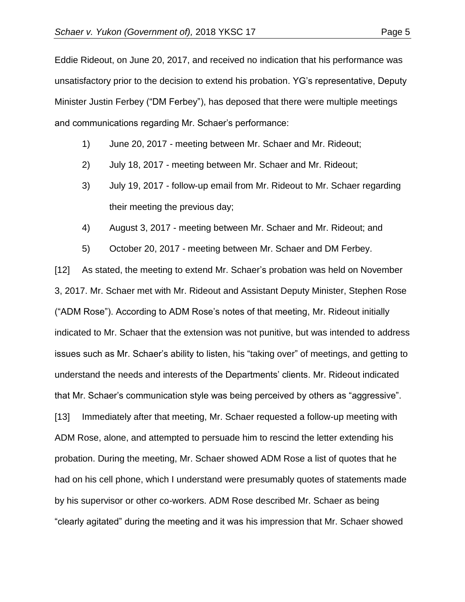Eddie Rideout, on June 20, 2017, and received no indication that his performance was unsatisfactory prior to the decision to extend his probation. YG's representative, Deputy Minister Justin Ferbey ("DM Ferbey"), has deposed that there were multiple meetings and communications regarding Mr. Schaer's performance:

- 1) June 20, 2017 meeting between Mr. Schaer and Mr. Rideout;
- 2) July 18, 2017 meeting between Mr. Schaer and Mr. Rideout;
- 3) July 19, 2017 follow-up email from Mr. Rideout to Mr. Schaer regarding their meeting the previous day;
- 4) August 3, 2017 meeting between Mr. Schaer and Mr. Rideout; and
- 5) October 20, 2017 meeting between Mr. Schaer and DM Ferbey.

[12] As stated, the meeting to extend Mr. Schaer's probation was held on November 3, 2017. Mr. Schaer met with Mr. Rideout and Assistant Deputy Minister, Stephen Rose ("ADM Rose"). According to ADM Rose's notes of that meeting, Mr. Rideout initially indicated to Mr. Schaer that the extension was not punitive, but was intended to address issues such as Mr. Schaer's ability to listen, his "taking over" of meetings, and getting to understand the needs and interests of the Departments' clients. Mr. Rideout indicated that Mr. Schaer's communication style was being perceived by others as "aggressive". [13] Immediately after that meeting, Mr. Schaer requested a follow-up meeting with ADM Rose, alone, and attempted to persuade him to rescind the letter extending his probation. During the meeting, Mr. Schaer showed ADM Rose a list of quotes that he had on his cell phone, which I understand were presumably quotes of statements made by his supervisor or other co-workers. ADM Rose described Mr. Schaer as being "clearly agitated" during the meeting and it was his impression that Mr. Schaer showed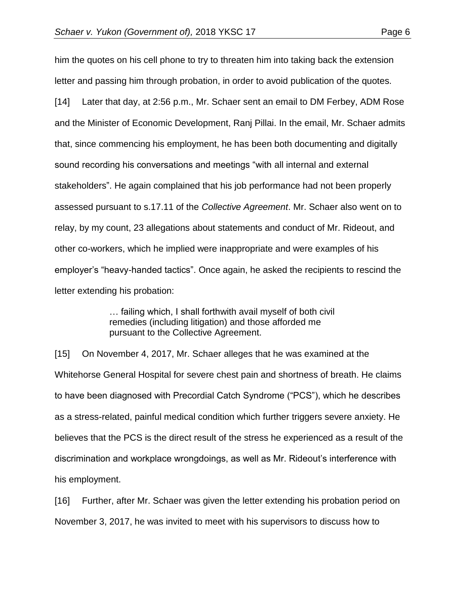him the quotes on his cell phone to try to threaten him into taking back the extension letter and passing him through probation, in order to avoid publication of the quotes. [14] Later that day, at 2:56 p.m., Mr. Schaer sent an email to DM Ferbey, ADM Rose and the Minister of Economic Development, Ranj Pillai. In the email, Mr. Schaer admits that, since commencing his employment, he has been both documenting and digitally sound recording his conversations and meetings "with all internal and external stakeholders". He again complained that his job performance had not been properly assessed pursuant to s.17.11 of the *Collective Agreement*. Mr. Schaer also went on to relay, by my count, 23 allegations about statements and conduct of Mr. Rideout, and other co-workers, which he implied were inappropriate and were examples of his employer's "heavy-handed tactics". Once again, he asked the recipients to rescind the letter extending his probation:

> … failing which, I shall forthwith avail myself of both civil remedies (including litigation) and those afforded me pursuant to the Collective Agreement.

[15] On November 4, 2017, Mr. Schaer alleges that he was examined at the Whitehorse General Hospital for severe chest pain and shortness of breath. He claims to have been diagnosed with Precordial Catch Syndrome ("PCS"), which he describes as a stress-related, painful medical condition which further triggers severe anxiety. He believes that the PCS is the direct result of the stress he experienced as a result of the discrimination and workplace wrongdoings, as well as Mr. Rideout's interference with his employment.

[16] Further, after Mr. Schaer was given the letter extending his probation period on November 3, 2017, he was invited to meet with his supervisors to discuss how to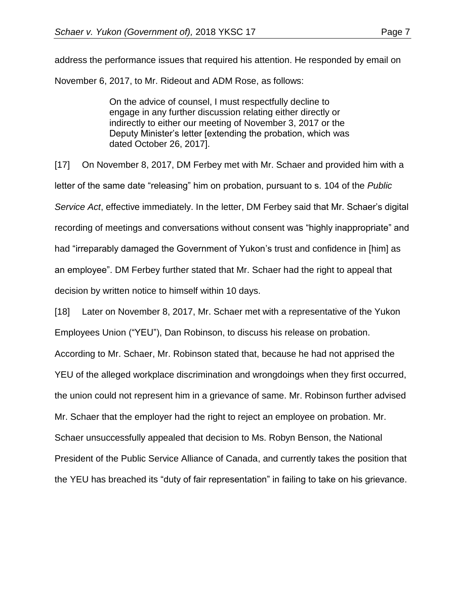On the advice of counsel, I must respectfully decline to engage in any further discussion relating either directly or indirectly to either our meeting of November 3, 2017 or the Deputy Minister's letter [extending the probation, which was dated October 26, 2017].

[17] On November 8, 2017, DM Ferbey met with Mr. Schaer and provided him with a letter of the same date "releasing" him on probation, pursuant to s. 104 of the *Public Service Act*, effective immediately. In the letter, DM Ferbey said that Mr. Schaer's digital recording of meetings and conversations without consent was "highly inappropriate" and had "irreparably damaged the Government of Yukon's trust and confidence in [him] as an employee". DM Ferbey further stated that Mr. Schaer had the right to appeal that decision by written notice to himself within 10 days.

[18] Later on November 8, 2017, Mr. Schaer met with a representative of the Yukon Employees Union ("YEU"), Dan Robinson, to discuss his release on probation. According to Mr. Schaer, Mr. Robinson stated that, because he had not apprised the YEU of the alleged workplace discrimination and wrongdoings when they first occurred, the union could not represent him in a grievance of same. Mr. Robinson further advised Mr. Schaer that the employer had the right to reject an employee on probation. Mr. Schaer unsuccessfully appealed that decision to Ms. Robyn Benson, the National President of the Public Service Alliance of Canada, and currently takes the position that the YEU has breached its "duty of fair representation" in failing to take on his grievance.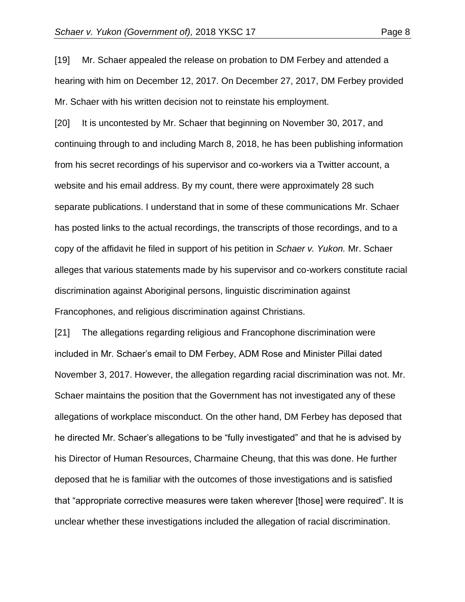[19] Mr. Schaer appealed the release on probation to DM Ferbey and attended a hearing with him on December 12, 2017. On December 27, 2017, DM Ferbey provided Mr. Schaer with his written decision not to reinstate his employment.

[20] It is uncontested by Mr. Schaer that beginning on November 30, 2017, and continuing through to and including March 8, 2018, he has been publishing information from his secret recordings of his supervisor and co-workers via a Twitter account, a website and his email address. By my count, there were approximately 28 such separate publications. I understand that in some of these communications Mr. Schaer has posted links to the actual recordings, the transcripts of those recordings, and to a copy of the affidavit he filed in support of his petition in *Schaer v. Yukon.* Mr. Schaer alleges that various statements made by his supervisor and co-workers constitute racial discrimination against Aboriginal persons, linguistic discrimination against Francophones, and religious discrimination against Christians.

[21] The allegations regarding religious and Francophone discrimination were included in Mr. Schaer's email to DM Ferbey, ADM Rose and Minister Pillai dated November 3, 2017. However, the allegation regarding racial discrimination was not. Mr. Schaer maintains the position that the Government has not investigated any of these allegations of workplace misconduct. On the other hand, DM Ferbey has deposed that he directed Mr. Schaer's allegations to be "fully investigated" and that he is advised by his Director of Human Resources, Charmaine Cheung, that this was done. He further deposed that he is familiar with the outcomes of those investigations and is satisfied that "appropriate corrective measures were taken wherever [those] were required". It is unclear whether these investigations included the allegation of racial discrimination.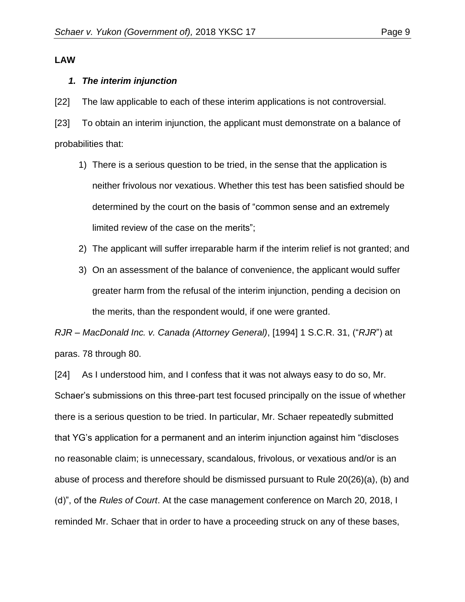#### **LAW**

#### *1. The interim injunction*

[22] The law applicable to each of these interim applications is not controversial.

[23] To obtain an interim injunction, the applicant must demonstrate on a balance of probabilities that:

- 1) There is a serious question to be tried, in the sense that the application is neither frivolous nor vexatious. Whether this test has been satisfied should be determined by the court on the basis of "common sense and an extremely limited review of the case on the merits";
- 2) The applicant will suffer irreparable harm if the interim relief is not granted; and
- 3) On an assessment of the balance of convenience, the applicant would suffer greater harm from the refusal of the interim injunction, pending a decision on the merits, than the respondent would, if one were granted.

*RJR – MacDonald Inc. v. Canada (Attorney General)*, [1994] 1 S.C.R. 31, ("*RJR*") at paras. 78 through 80.

[24] As I understood him, and I confess that it was not always easy to do so, Mr. Schaer's submissions on this three-part test focused principally on the issue of whether there is a serious question to be tried. In particular, Mr. Schaer repeatedly submitted that YG's application for a permanent and an interim injunction against him "discloses no reasonable claim; is unnecessary, scandalous, frivolous, or vexatious and/or is an abuse of process and therefore should be dismissed pursuant to Rule 20(26)(a), (b) and (d)", of the *Rules of Court*. At the case management conference on March 20, 2018, I reminded Mr. Schaer that in order to have a proceeding struck on any of these bases,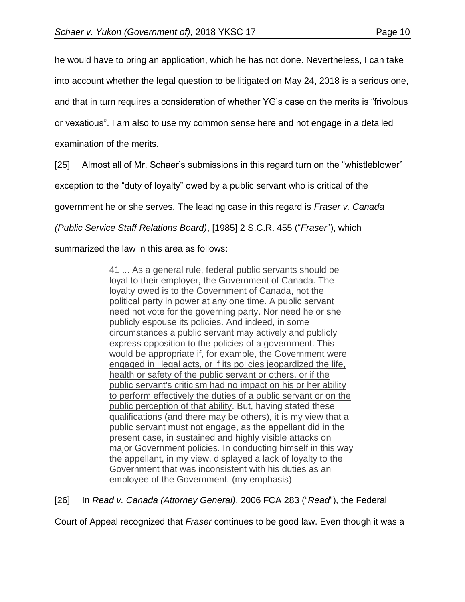he would have to bring an application, which he has not done. Nevertheless, I can take into account whether the legal question to be litigated on May 24, 2018 is a serious one, and that in turn requires a consideration of whether YG's case on the merits is "frivolous or vexatious". I am also to use my common sense here and not engage in a detailed examination of the merits.

[25] Almost all of Mr. Schaer's submissions in this regard turn on the "whistleblower" exception to the "duty of loyalty" owed by a public servant who is critical of the government he or she serves. The leading case in this regard is *Fraser v. Canada (Public Service Staff Relations Board)*, [1985] 2 S.C.R. 455 ("*Fraser*"), which

summarized the law in this area as follows:

41 ... As a general rule, federal public servants should be loyal to their employer, the Government of Canada. The loyalty owed is to the Government of Canada, not the political party in power at any one time. A public servant need not vote for the governing party. Nor need he or she publicly espouse its policies. And indeed, in some circumstances a public servant may actively and publicly express opposition to the policies of a government. This would be appropriate if, for example, the Government were engaged in illegal acts, or if its policies jeopardized the life, health or safety of the public servant or others, or if the public servant's criticism had no impact on his or her ability to perform effectively the duties of a public servant or on the public perception of that ability. But, having stated these qualifications (and there may be others), it is my view that a public servant must not engage, as the appellant did in the present case, in sustained and highly visible attacks on major Government policies. In conducting himself in this way the appellant, in my view, displayed a lack of loyalty to the Government that was inconsistent with his duties as an employee of the Government. (my emphasis)

[26] In *Read v. Canada (Attorney General)*, 2006 FCA 283 ("*Read*"), the Federal

Court of Appeal recognized that *Fraser* continues to be good law. Even though it was a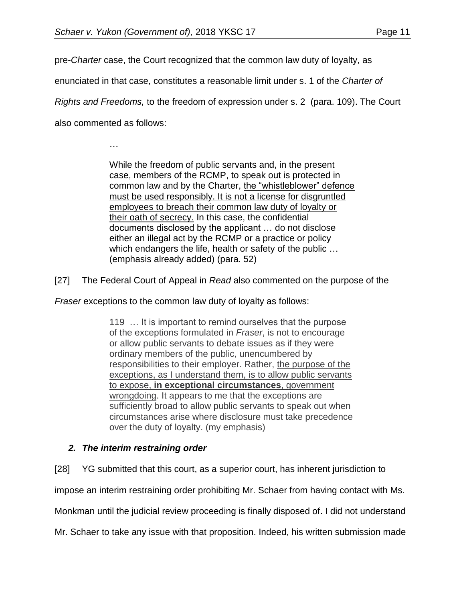pre-*Charter* case, the Court recognized that the common law duty of loyalty, as

enunciated in that case, constitutes a reasonable limit under s. 1 of the *Charter of* 

*Rights and Freedoms,* to the freedom of expression under s. 2 (para. 109). The Court

also commented as follows:

…

While the freedom of public servants and, in the present case, members of the RCMP, to speak out is protected in common law and by the Charter, the "whistleblower" defence must be used responsibly. It is not a license for disgruntled employees to breach their common law duty of loyalty or their oath of secrecy. In this case, the confidential documents disclosed by the applicant … do not disclose either an illegal act by the RCMP or a practice or policy which endangers the life, health or safety of the public … (emphasis already added) (para. 52)

[27] The Federal Court of Appeal in *Read* also commented on the purpose of the

*Fraser* exceptions to the common law duty of loyalty as follows:

119 … It is important to remind ourselves that the purpose of the exceptions formulated in *Fraser*, is not to encourage or allow public servants to debate issues as if they were ordinary members of the public, unencumbered by responsibilities to their employer. Rather, the purpose of the exceptions, as I understand them, is to allow public servants to expose, **in exceptional circumstances**, government wrongdoing. It appears to me that the exceptions are sufficiently broad to allow public servants to speak out when circumstances arise where disclosure must take precedence over the duty of loyalty. (my emphasis)

### *2. The interim restraining order*

[28] YG submitted that this court, as a superior court, has inherent jurisdiction to

impose an interim restraining order prohibiting Mr. Schaer from having contact with Ms.

Monkman until the judicial review proceeding is finally disposed of. I did not understand

Mr. Schaer to take any issue with that proposition. Indeed, his written submission made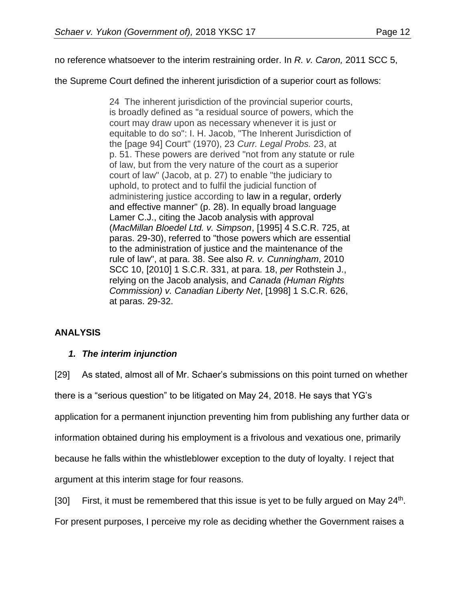no reference whatsoever to the interim restraining order. In *R. v. Caron,* 2011 SCC 5,

the Supreme Court defined the inherent jurisdiction of a superior court as follows:

24The inherent jurisdiction of the provincial superior courts, is broadly defined as "a residual source of powers, which the court may draw upon as necessary whenever it is just or equitable to do so": I. H. Jacob, "The Inherent Jurisdiction of the [page 94] Court" (1970), 23 *Curr. Legal Probs.* 23, at p. 51. These powers are derived "not from any statute or rule of law, but from the very nature of the court as a superior court of law" (Jacob, at p. 27) to enable "the judiciary to uphold, to protect and to fulfil the judicial function of administering justice according to law in a regular, orderly and effective manner" (p. 28). In equally broad language Lamer C.J., citing the Jacob analysis with approval (*MacMillan Bloedel Ltd. v. Simpson*, [\[1995\] 4 S.C.R. 725,](https://advance.lexis.com/search/?pdmfid=1505209&crid=2e41c632-ad0d-4eaf-9780-77fe7860b382&pdsearchterms=2011+SCC+5%2C&pdicsfeatureid=1517129&pdstartin=hlct%3A1%3A11&pdtypeofsearch=searchboxclick&pdsearchtype=SearchBox&pdqttype=and&pdpsf=%3A%3A1&ecomp=44gt9kk&earg=pdpsf&prid=c47e603d-5e86-4230-a5bb-8fb62ae1abd1) at paras. 29-30), referred to "those powers which are essential to the administration of justice and the maintenance of the rule of law", at para. 38. See also *R. v. Cunningham*, [2010](https://advance.lexis.com/search/?pdmfid=1505209&crid=2e41c632-ad0d-4eaf-9780-77fe7860b382&pdsearchterms=2011+SCC+5%2C&pdicsfeatureid=1517129&pdstartin=hlct%3A1%3A11&pdtypeofsearch=searchboxclick&pdsearchtype=SearchBox&pdqttype=and&pdpsf=%3A%3A1&ecomp=44gt9kk&earg=pdpsf&prid=c47e603d-5e86-4230-a5bb-8fb62ae1abd1)  [SCC 10, \[2010\] 1 S.C.R. 331,](https://advance.lexis.com/search/?pdmfid=1505209&crid=2e41c632-ad0d-4eaf-9780-77fe7860b382&pdsearchterms=2011+SCC+5%2C&pdicsfeatureid=1517129&pdstartin=hlct%3A1%3A11&pdtypeofsearch=searchboxclick&pdsearchtype=SearchBox&pdqttype=and&pdpsf=%3A%3A1&ecomp=44gt9kk&earg=pdpsf&prid=c47e603d-5e86-4230-a5bb-8fb62ae1abd1) at para. 18, *per* Rothstein J., relying on the Jacob analysis, and *Canada (Human Rights Commission) v. Canadian Liberty Net*, [\[1998\] 1 S.C.R. 626,](https://advance.lexis.com/search/?pdmfid=1505209&crid=2e41c632-ad0d-4eaf-9780-77fe7860b382&pdsearchterms=2011+SCC+5%2C&pdicsfeatureid=1517129&pdstartin=hlct%3A1%3A11&pdtypeofsearch=searchboxclick&pdsearchtype=SearchBox&pdqttype=and&pdpsf=%3A%3A1&ecomp=44gt9kk&earg=pdpsf&prid=c47e603d-5e86-4230-a5bb-8fb62ae1abd1) at paras. 29-32.

### **ANALYSIS**

### *1. The interim injunction*

[29] As stated, almost all of Mr. Schaer's submissions on this point turned on whether there is a "serious question" to be litigated on May 24, 2018. He says that YG's application for a permanent injunction preventing him from publishing any further data or information obtained during his employment is a frivolous and vexatious one, primarily because he falls within the whistleblower exception to the duty of loyalty. I reject that argument at this interim stage for four reasons.

[30] First, it must be remembered that this issue is yet to be fully argued on May  $24<sup>th</sup>$ . For present purposes, I perceive my role as deciding whether the Government raises a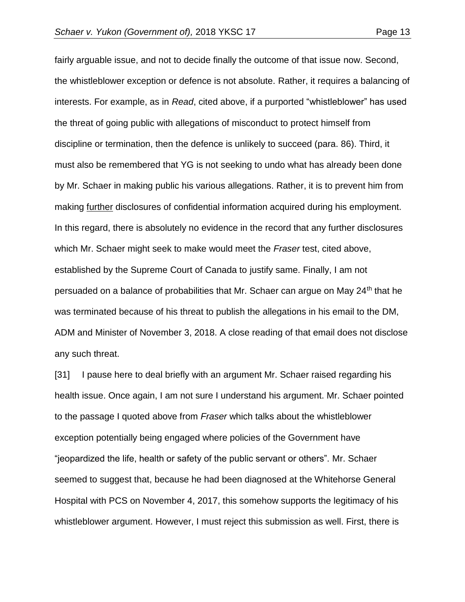fairly arguable issue, and not to decide finally the outcome of that issue now. Second, the whistleblower exception or defence is not absolute. Rather, it requires a balancing of interests. For example, as in *Read*, cited above, if a purported "whistleblower" has used the threat of going public with allegations of misconduct to protect himself from discipline or termination, then the defence is unlikely to succeed (para. 86). Third, it must also be remembered that YG is not seeking to undo what has already been done by Mr. Schaer in making public his various allegations. Rather, it is to prevent him from making further disclosures of confidential information acquired during his employment. In this regard, there is absolutely no evidence in the record that any further disclosures which Mr. Schaer might seek to make would meet the *Fraser* test, cited above, established by the Supreme Court of Canada to justify same. Finally, I am not persuaded on a balance of probabilities that Mr. Schaer can argue on May 24<sup>th</sup> that he was terminated because of his threat to publish the allegations in his email to the DM, ADM and Minister of November 3, 2018. A close reading of that email does not disclose any such threat.

[31] I pause here to deal briefly with an argument Mr. Schaer raised regarding his health issue. Once again, I am not sure I understand his argument. Mr. Schaer pointed to the passage I quoted above from *Fraser* which talks about the whistleblower exception potentially being engaged where policies of the Government have "jeopardized the life, health or safety of the public servant or others". Mr. Schaer seemed to suggest that, because he had been diagnosed at the Whitehorse General Hospital with PCS on November 4, 2017, this somehow supports the legitimacy of his whistleblower argument. However, I must reject this submission as well. First, there is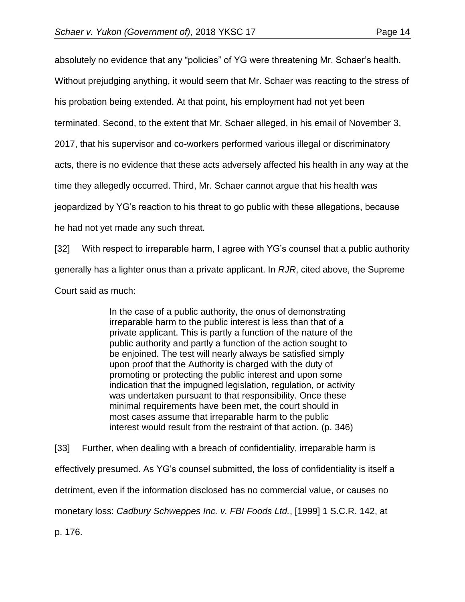absolutely no evidence that any "policies" of YG were threatening Mr. Schaer's health.

Without prejudging anything, it would seem that Mr. Schaer was reacting to the stress of

his probation being extended. At that point, his employment had not yet been

terminated. Second, to the extent that Mr. Schaer alleged, in his email of November 3,

2017, that his supervisor and co-workers performed various illegal or discriminatory

acts, there is no evidence that these acts adversely affected his health in any way at the

time they allegedly occurred. Third, Mr. Schaer cannot argue that his health was

jeopardized by YG's reaction to his threat to go public with these allegations, because

he had not yet made any such threat.

[32] With respect to irreparable harm, I agree with YG's counsel that a public authority

generally has a lighter onus than a private applicant. In *RJR*, cited above, the Supreme

Court said as much:

In the case of a public authority, the onus of demonstrating irreparable harm to the public interest is less than that of a private applicant. This is partly a function of the nature of the public authority and partly a function of the action sought to be enjoined. The test will nearly always be satisfied simply upon proof that the Authority is charged with the duty of promoting or protecting the public interest and upon some indication that the impugned legislation, regulation, or activity was undertaken pursuant to that responsibility. Once these minimal requirements have been met, the court should in most cases assume that irreparable harm to the public interest would result from the restraint of that action. (p. 346)

[33] Further, when dealing with a breach of confidentiality, irreparable harm is effectively presumed. As YG's counsel submitted, the loss of confidentiality is itself a detriment, even if the information disclosed has no commercial value, or causes no monetary loss: *Cadbury Schweppes Inc. v. FBI Foods Ltd.*, [1999] 1 S.C.R. 142, at

p. 176.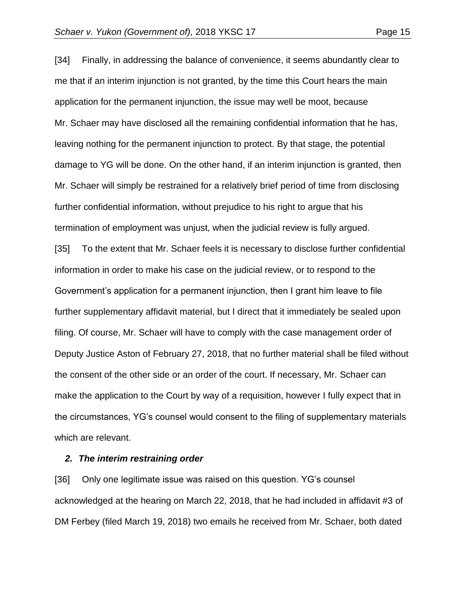[34] Finally, in addressing the balance of convenience, it seems abundantly clear to me that if an interim injunction is not granted, by the time this Court hears the main application for the permanent injunction, the issue may well be moot, because Mr. Schaer may have disclosed all the remaining confidential information that he has,

leaving nothing for the permanent injunction to protect. By that stage, the potential damage to YG will be done. On the other hand, if an interim injunction is granted, then Mr. Schaer will simply be restrained for a relatively brief period of time from disclosing further confidential information, without prejudice to his right to argue that his termination of employment was unjust, when the judicial review is fully argued.

[35] To the extent that Mr. Schaer feels it is necessary to disclose further confidential information in order to make his case on the judicial review, or to respond to the Government's application for a permanent injunction, then I grant him leave to file further supplementary affidavit material, but I direct that it immediately be sealed upon filing. Of course, Mr. Schaer will have to comply with the case management order of Deputy Justice Aston of February 27, 2018, that no further material shall be filed without the consent of the other side or an order of the court. If necessary, Mr. Schaer can make the application to the Court by way of a requisition, however I fully expect that in the circumstances, YG's counsel would consent to the filing of supplementary materials which are relevant.

#### *2. The interim restraining order*

[36] Only one legitimate issue was raised on this question. YG's counsel acknowledged at the hearing on March 22, 2018, that he had included in affidavit #3 of DM Ferbey (filed March 19, 2018) two emails he received from Mr. Schaer, both dated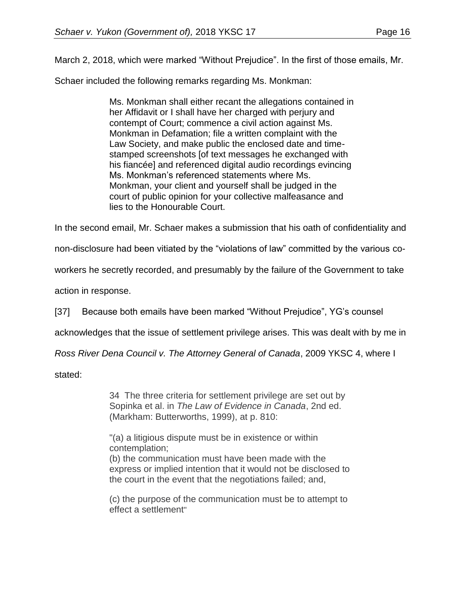March 2, 2018, which were marked "Without Prejudice". In the first of those emails, Mr.

Schaer included the following remarks regarding Ms. Monkman:

Ms. Monkman shall either recant the allegations contained in her Affidavit or I shall have her charged with perjury and contempt of Court; commence a civil action against Ms. Monkman in Defamation; file a written complaint with the Law Society, and make public the enclosed date and timestamped screenshots [of text messages he exchanged with his fiancée] and referenced digital audio recordings evincing Ms. Monkman's referenced statements where Ms. Monkman, your client and yourself shall be judged in the court of public opinion for your collective malfeasance and lies to the Honourable Court.

In the second email, Mr. Schaer makes a submission that his oath of confidentiality and

non-disclosure had been vitiated by the "violations of law" committed by the various co-

workers he secretly recorded, and presumably by the failure of the Government to take

action in response.

[37] Because both emails have been marked "Without Prejudice", YG's counsel

acknowledges that the issue of settlement privilege arises. This was dealt with by me in

*Ross River Dena Council v. The Attorney General of Canada*, 2009 YKSC 4, where I

stated:

34 The three criteria for settlement privilege are set out by Sopinka et al. in *The Law of Evidence in Canada*, 2nd ed. (Markham: Butterworths, 1999), at p. 810:

"(a) a litigious dispute must be in existence or within contemplation;

(b) the communication must have been made with the express or implied intention that it would not be disclosed to the court in the event that the negotiations failed; and,

(c) the purpose of the communication must be to attempt to effect a settlement"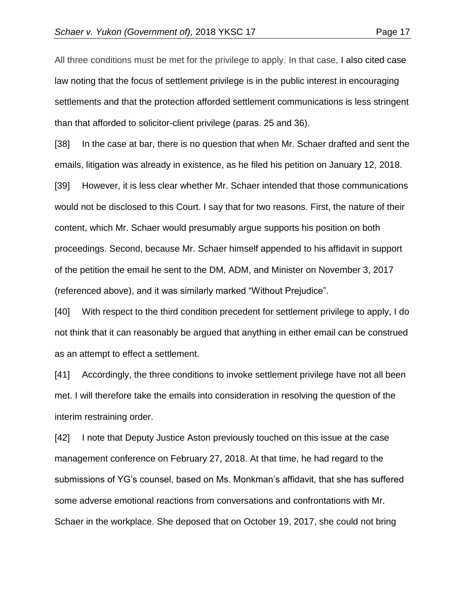All three conditions must be met for the privilege to apply. In that case, I also cited case law noting that the focus of settlement privilege is in the public interest in encouraging settlements and that the protection afforded settlement communications is less stringent than that afforded to solicitor-client privilege (paras. 25 and 36).

[38] In the case at bar, there is no question that when Mr. Schaer drafted and sent the emails, litigation was already in existence, as he filed his petition on January 12, 2018.

[39] However, it is less clear whether Mr. Schaer intended that those communications would not be disclosed to this Court. I say that for two reasons. First, the nature of their content, which Mr. Schaer would presumably argue supports his position on both proceedings. Second, because Mr. Schaer himself appended to his affidavit in support of the petition the email he sent to the DM, ADM, and Minister on November 3, 2017 (referenced above), and it was similarly marked "Without Prejudice".

[40] With respect to the third condition precedent for settlement privilege to apply, I do not think that it can reasonably be argued that anything in either email can be construed as an attempt to effect a settlement.

[41] Accordingly, the three conditions to invoke settlement privilege have not all been met. I will therefore take the emails into consideration in resolving the question of the interim restraining order.

[42] I note that Deputy Justice Aston previously touched on this issue at the case management conference on February 27, 2018. At that time, he had regard to the submissions of YG's counsel, based on Ms. Monkman's affidavit, that she has suffered some adverse emotional reactions from conversations and confrontations with Mr. Schaer in the workplace. She deposed that on October 19, 2017, she could not bring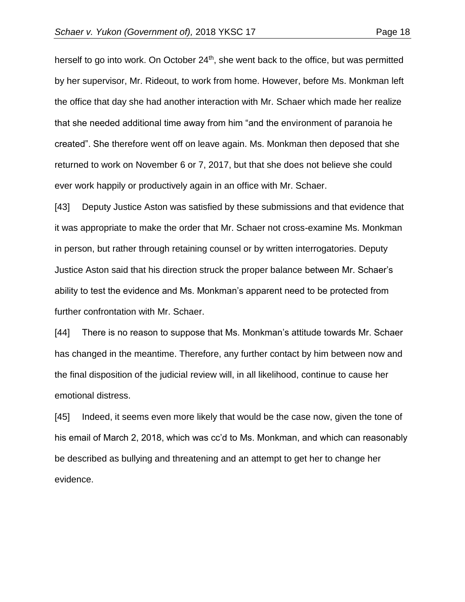herself to go into work. On October 24<sup>th</sup>, she went back to the office, but was permitted by her supervisor, Mr. Rideout, to work from home. However, before Ms. Monkman left the office that day she had another interaction with Mr. Schaer which made her realize that she needed additional time away from him "and the environment of paranoia he created". She therefore went off on leave again. Ms. Monkman then deposed that she returned to work on November 6 or 7, 2017, but that she does not believe she could ever work happily or productively again in an office with Mr. Schaer.

[43] Deputy Justice Aston was satisfied by these submissions and that evidence that it was appropriate to make the order that Mr. Schaer not cross-examine Ms. Monkman in person, but rather through retaining counsel or by written interrogatories. Deputy Justice Aston said that his direction struck the proper balance between Mr. Schaer's ability to test the evidence and Ms. Monkman's apparent need to be protected from further confrontation with Mr. Schaer.

[44] There is no reason to suppose that Ms. Monkman's attitude towards Mr. Schaer has changed in the meantime. Therefore, any further contact by him between now and the final disposition of the judicial review will, in all likelihood, continue to cause her emotional distress.

[45] Indeed, it seems even more likely that would be the case now, given the tone of his email of March 2, 2018, which was cc'd to Ms. Monkman, and which can reasonably be described as bullying and threatening and an attempt to get her to change her evidence.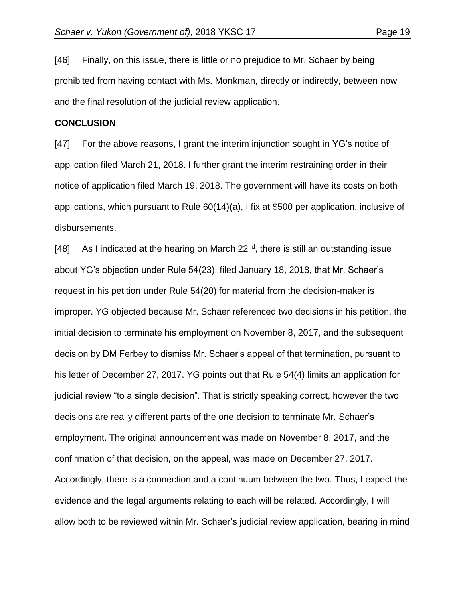and the final resolution of the judicial review application.

[46] Finally, on this issue, there is little or no prejudice to Mr. Schaer by being prohibited from having contact with Ms. Monkman, directly or indirectly, between now

#### **CONCLUSION**

[47] For the above reasons, I grant the interim injunction sought in YG's notice of application filed March 21, 2018. I further grant the interim restraining order in their notice of application filed March 19, 2018. The government will have its costs on both applications, which pursuant to Rule 60(14)(a), I fix at \$500 per application, inclusive of disbursements.

[48] As I indicated at the hearing on March  $22<sup>nd</sup>$ , there is still an outstanding issue about YG's objection under Rule 54(23), filed January 18, 2018, that Mr. Schaer's request in his petition under Rule 54(20) for material from the decision-maker is improper. YG objected because Mr. Schaer referenced two decisions in his petition, the initial decision to terminate his employment on November 8, 2017, and the subsequent decision by DM Ferbey to dismiss Mr. Schaer's appeal of that termination, pursuant to his letter of December 27, 2017. YG points out that Rule 54(4) limits an application for judicial review "to a single decision". That is strictly speaking correct, however the two decisions are really different parts of the one decision to terminate Mr. Schaer's employment. The original announcement was made on November 8, 2017, and the confirmation of that decision, on the appeal, was made on December 27, 2017. Accordingly, there is a connection and a continuum between the two. Thus, I expect the evidence and the legal arguments relating to each will be related. Accordingly, I will allow both to be reviewed within Mr. Schaer's judicial review application, bearing in mind